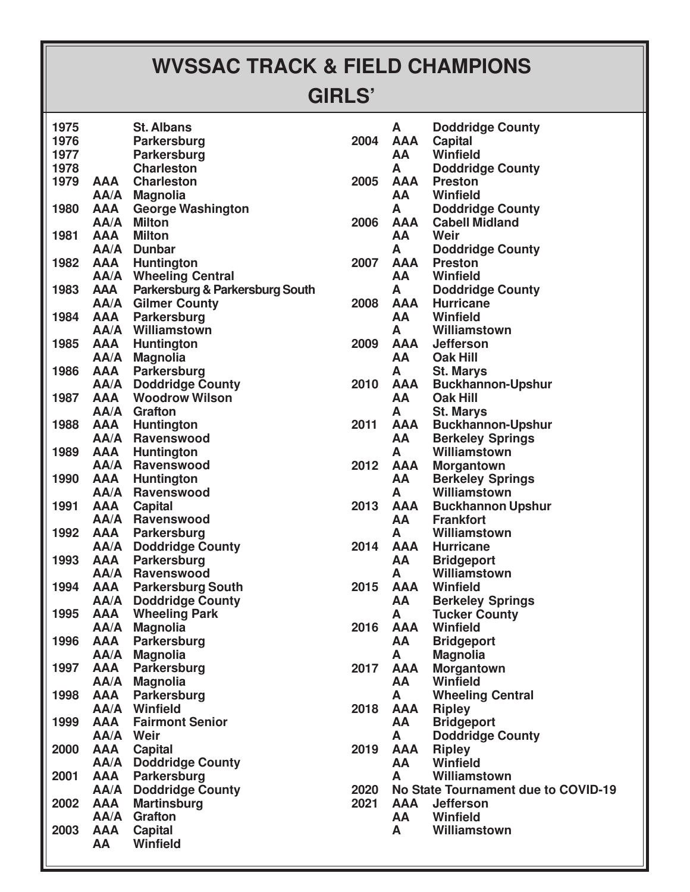## **WVSSAC TRACK & FIELD CHAMPIONS**

## **GIRLS'**

| 1975 |                    | <b>St. Albans</b>               |      | Α         |
|------|--------------------|---------------------------------|------|-----------|
| 1976 |                    | Parkersburg                     | 2004 | AA        |
| 1977 |                    | Parkersburg                     |      | AA        |
| 1978 |                    | <b>Charleston</b>               |      | A         |
| 1979 | <b>AAA</b>         | <b>Charleston</b>               | 2005 | AA        |
|      | AA/A               | <b>Magnolia</b>                 |      | AA        |
| 1980 | AAA                | <b>George Washington</b>        |      | A         |
|      | AA/A               | <b>Milton</b>                   | 2006 | AA        |
| 1981 | AAA                | <b>Milton</b>                   |      | AA        |
|      | AA/A               | <b>Dunbar</b>                   |      | A         |
| 1982 | AAA                | Huntington                      | 2007 | AA        |
|      | AA/A               | <b>Wheeling Central</b>         |      | AA        |
| 1983 | AAA                | Parkersburg & Parkersburg South |      | A         |
|      | AA/A               | <b>Gilmer County</b>            | 2008 | AA        |
| 1984 | AAA                | Parkersburg                     |      | AA        |
|      | AA/A               | Williamstown                    |      | A         |
| 1985 | AAA                | Huntington                      | 2009 | AA        |
|      | AA/A               | <b>Magnolia</b>                 |      | AA        |
| 1986 | AAA                | Parkersburg                     |      | A         |
|      | AA/A               | <b>Doddridge County</b>         | 2010 | AA        |
| 1987 | AAA                | <b>Woodrow Wilson</b>           |      | AA        |
|      | AA/A               | <b>Grafton</b>                  |      | A         |
| 1988 | AAA                | Huntington                      | 2011 | AA        |
|      | AA/A               | <b>Ravenswood</b>               |      | AA        |
| 1989 | AAA                | Huntington                      |      | A         |
|      | AA/A               | Ravenswood                      | 2012 | AA        |
| 1990 | AAA                | <b>Huntington</b>               |      | AA        |
|      | AA/A               | Ravenswood                      |      | A         |
| 1991 | AAA                | <b>Capital</b>                  | 2013 | AA        |
|      | AA/A               | <b>Ravenswood</b>               |      | AA        |
| 1992 | AAA                | <b>Parkersburg</b>              |      | A         |
|      | AA/A               | <b>Doddridge County</b>         | 2014 | AA        |
| 1993 | AAA                | Parkersburg                     |      | AA        |
|      | AA/A               | <b>Ravenswood</b>               |      | A         |
| 1994 |                    | <b>AAA</b> Parkersburg South    | 2015 | AA        |
|      | AA/A<br><b>AAA</b> | <b>Doddridge County</b>         |      | AA        |
| 1995 | AA/A               | <b>Wheeling Park</b>            | 2016 | A<br>AA   |
| 1996 | AAA                | <b>Magnolia</b><br>Parkersburg  |      | AA        |
|      | AA/A               | <b>Magnolia</b>                 |      | A         |
| 1997 | AAA                | Parkersburg                     | 2017 | AA        |
|      | AA/A               | <b>Magnolia</b>                 |      | AA        |
| 1998 | AAA                | <b>Parkersburg</b>              |      | A         |
|      | AA/A               | Winfield                        | 2018 | AA        |
| 1999 | AAA                | <b>Fairmont Senior</b>          |      | AA        |
|      | AA/A               | Weir                            |      | A         |
| 2000 | AAA                | <b>Capital</b>                  | 2019 | AA        |
|      | AA/A               | <b>Doddridge County</b>         |      | AA        |
| 2001 | <b>AAA</b>         | Parkersburg                     |      | A         |
|      | AA/A               | <b>Doddridge County</b>         | 2020 | <b>No</b> |
| 2002 | AAA                | <b>Martinsburg</b>              | 2021 | AA        |
|      | AA/A               | <b>Grafton</b>                  |      | AA        |
| 2003 | AAA                | <b>Capital</b>                  |      | A         |
|      | AA                 | <b>Winfield</b>                 |      |           |
|      |                    |                                 |      |           |

| 2004         | A<br>AAA<br>AA a                                         | <b>Doddridge County</b><br><b>Capital</b><br><b>Winfield</b>            |
|--------------|----------------------------------------------------------|-------------------------------------------------------------------------|
| 2005         | A<br>AAA                                                 | <b>Doddridge County</b><br><b>Preston</b>                               |
| 2006         | AA a<br>A<br>AAA                                         | Winfield<br><b>Doddridge County</b><br><b>Cabell Midland</b>            |
|              | AA a<br>A                                                | Weir<br><b>Doddridge County</b>                                         |
| 2007         | AA a                                                     | <b>AAA</b> Preston<br>Winfield                                          |
| 2008         | A                                                        | <b>Doddridge County</b><br><b>AAA</b> Hurricane<br><b>AA</b> Winfield   |
| 2009         |                                                          | <b>A</b> Williamstown<br><b>AAA</b> Jefferson<br>AA Oak Hill            |
| 2010         | A<br>AAA<br>AA a                                         | <b>St. Marys</b><br><b>Buckhannon-Upshur</b><br><b>Oak Hill</b>         |
| 2011         | A<br>AAA<br>AA a                                         | <b>St. Marys</b><br><b>Buckhannon-Upshur</b><br><b>Berkeley Springs</b> |
| 2012         | A<br>AAA<br>AA a                                         | Williamstown<br><b>Morgantown</b><br><b>Berkeley Springs</b>            |
| 2013         | A<br>AAA<br>AA a                                         | Williamstown<br><b>Buckhannon Upshur</b><br><b>Frankfort</b>            |
| 2014         | A                                                        | Williamstown<br><b>AAA</b> Hurricane<br><b>AA</b> Bridgeport            |
| 2015         | A<br>AA a                                                | Williamstown<br><b>AAA</b> Winfield<br><b>Berkeley Springs</b>          |
| 2016         | А<br>AAA<br>AA                                           | <b>Tucker County</b><br>Winfield<br><b>Bridgeport</b>                   |
| 2017         | A<br>AAA<br><b>AA</b>                                    | <b>Magnolia</b><br><b>Morgantown</b><br>Winfield                        |
| 2018         | A<br>AAA<br><b>AA</b>                                    | <b>Wheeling Central</b><br><b>Ripley</b><br><b>Bridgeport</b>           |
| 2019         | A<br>AAA<br><b>AA</b>                                    | <b>Doddridge County</b><br><b>Ripley</b><br>Winfield                    |
| 2020<br>2021 | A<br>Williamstown<br>No State Tournament due to COVID-19 |                                                                         |
|              | <b>AAA</b><br>A                                          | <b>Jefferson</b><br><b>AA</b> Winfield<br>Williamstown                  |
|              |                                                          |                                                                         |